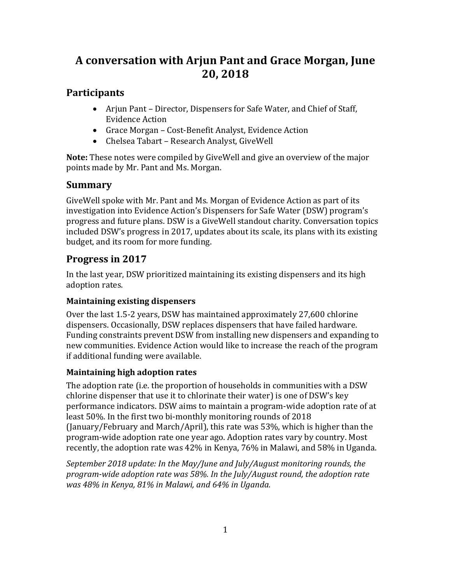# **A conversation with Arjun Pant and Grace Morgan, June 20, 2018**

## **Participants**

- Arjun Pant Director, Dispensers for Safe Water, and Chief of Staff, Evidence Action
- Grace Morgan Cost-Benefit Analyst, Evidence Action
- Chelsea Tabart Research Analyst, GiveWell

**Note:** These notes were compiled by GiveWell and give an overview of the major points made by Mr. Pant and Ms. Morgan.

## **Summary**

GiveWell spoke with Mr. Pant and Ms. Morgan of Evidence Action as part of its investigation into Evidence Action's Dispensers for Safe Water (DSW) program's progress and future plans. DSW is a GiveWell standout charity. Conversation topics included DSW's progress in 2017, updates about its scale, its plans with its existing budget, and its room for more funding.

## **Progress in 2017**

In the last year, DSW prioritized maintaining its existing dispensers and its high adoption rates.

## **Maintaining existing dispensers**

Over the last 1.5-2 years, DSW has maintained approximately 27,600 chlorine dispensers. Occasionally, DSW replaces dispensers that have failed hardware. Funding constraints prevent DSW from installing new dispensers and expanding to new communities. Evidence Action would like to increase the reach of the program if additional funding were available.

## **Maintaining high adoption rates**

The adoption rate (i.e. the proportion of households in communities with a DSW chlorine dispenser that use it to chlorinate their water) is one of DSW's key performance indicators. DSW aims to maintain a program-wide adoption rate of at least 50%. In the first two bi-monthly monitoring rounds of 2018 (January/February and March/April), this rate was 53%, which is higher than the program-wide adoption rate one year ago. Adoption rates vary by country. Most recently, the adoption rate was 42% in Kenya, 76% in Malawi, and 58% in Uganda.

*September 2018 update: In the May/June and July/August monitoring rounds, the program-wide adoption rate was 58%. In the July/August round, the adoption rate was 48% in Kenya, 81% in Malawi, and 64% in Uganda.*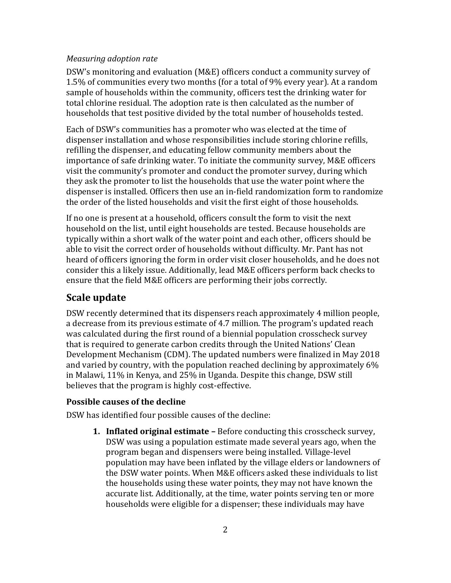#### *Measuring adoption rate*

DSW's monitoring and evaluation (M&E) officers conduct a community survey of 1.5% of communities every two months (for a total of 9% every year). At a random sample of households within the community, officers test the drinking water for total chlorine residual. The adoption rate is then calculated as the number of households that test positive divided by the total number of households tested.

Each of DSW's communities has a promoter who was elected at the time of dispenser installation and whose responsibilities include storing chlorine refills, refilling the dispenser, and educating fellow community members about the importance of safe drinking water. To initiate the community survey, M&E officers visit the community's promoter and conduct the promoter survey, during which they ask the promoter to list the households that use the water point where the dispenser is installed. Officers then use an in-field randomization form to randomize the order of the listed households and visit the first eight of those households.

If no one is present at a household, officers consult the form to visit the next household on the list, until eight households are tested. Because households are typically within a short walk of the water point and each other, officers should be able to visit the correct order of households without difficulty. Mr. Pant has not heard of officers ignoring the form in order visit closer households, and he does not consider this a likely issue. Additionally, lead M&E officers perform back checks to ensure that the field M&E officers are performing their jobs correctly.

### **Scale update**

DSW recently determined that its dispensers reach approximately 4 million people, a decrease from its previous estimate of 4.7 million. The program's updated reach was calculated during the first round of a biennial population crosscheck survey that is required to generate carbon credits through the United Nations' Clean Development Mechanism (CDM). The updated numbers were finalized in May 2018 and varied by country, with the population reached declining by approximately 6% in Malawi, 11% in Kenya, and 25% in Uganda. Despite this change, DSW still believes that the program is highly cost-effective.

#### **Possible causes of the decline**

DSW has identified four possible causes of the decline:

**1. Inflated original estimate –** Before conducting this crosscheck survey, DSW was using a population estimate made several years ago, when the program began and dispensers were being installed. Village-level population may have been inflated by the village elders or landowners of the DSW water points. When M&E officers asked these individuals to list the households using these water points, they may not have known the accurate list. Additionally, at the time, water points serving ten or more households were eligible for a dispenser; these individuals may have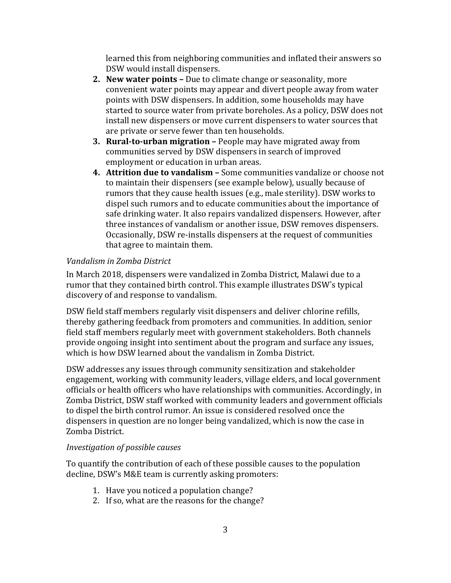learned this from neighboring communities and inflated their answers so DSW would install dispensers.

- **2. New water points –** Due to climate change or seasonality, more convenient water points may appear and divert people away from water points with DSW dispensers. In addition, some households may have started to source water from private boreholes. As a policy, DSW does not install new dispensers or move current dispensers to water sources that are private or serve fewer than ten households.
- **3. Rural-to-urban migration –** People may have migrated away from communities served by DSW dispensers in search of improved employment or education in urban areas.
- **4. Attrition due to vandalism –** Some communities vandalize or choose not to maintain their dispensers (see example below), usually because of rumors that they cause health issues (e.g., male sterility). DSW works to dispel such rumors and to educate communities about the importance of safe drinking water. It also repairs vandalized dispensers. However, after three instances of vandalism or another issue, DSW removes dispensers. Occasionally, DSW re-installs dispensers at the request of communities that agree to maintain them.

#### *Vandalism in Zomba District*

In March 2018, dispensers were vandalized in Zomba District, Malawi due to a rumor that they contained birth control. This example illustrates DSW's typical discovery of and response to vandalism.

DSW field staff members regularly visit dispensers and deliver chlorine refills, thereby gathering feedback from promoters and communities. In addition, senior field staff members regularly meet with government stakeholders. Both channels provide ongoing insight into sentiment about the program and surface any issues, which is how DSW learned about the vandalism in Zomba District.

DSW addresses any issues through community sensitization and stakeholder engagement, working with community leaders, village elders, and local government officials or health officers who have relationships with communities. Accordingly, in Zomba District, DSW staff worked with community leaders and government officials to dispel the birth control rumor. An issue is considered resolved once the dispensers in question are no longer being vandalized, which is now the case in Zomba District.

#### *Investigation of possible causes*

To quantify the contribution of each of these possible causes to the population decline, DSW's M&E team is currently asking promoters:

- 1. Have you noticed a population change?
- 2. If so, what are the reasons for the change?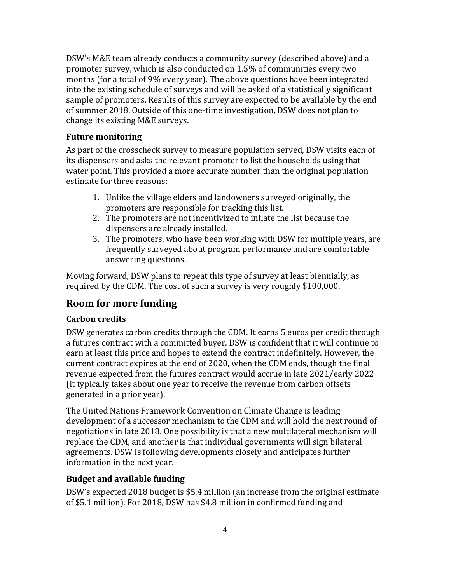DSW's M&E team already conducts a community survey (described above) and a promoter survey, which is also conducted on 1.5% of communities every two months (for a total of 9% every year). The above questions have been integrated into the existing schedule of surveys and will be asked of a statistically significant sample of promoters. Results of this survey are expected to be available by the end of summer 2018. Outside of this one-time investigation, DSW does not plan to change its existing M&E surveys.

#### **Future monitoring**

As part of the crosscheck survey to measure population served, DSW visits each of its dispensers and asks the relevant promoter to list the households using that water point. This provided a more accurate number than the original population estimate for three reasons:

- 1. Unlike the village elders and landowners surveyed originally, the promoters are responsible for tracking this list.
- 2. The promoters are not incentivized to inflate the list because the dispensers are already installed.
- 3. The promoters, who have been working with DSW for multiple years, are frequently surveyed about program performance and are comfortable answering questions.

Moving forward, DSW plans to repeat this type of survey at least biennially, as required by the CDM. The cost of such a survey is very roughly \$100,000.

## **Room for more funding**

#### **Carbon credits**

DSW generates carbon credits through the CDM. It earns 5 euros per credit through a futures contract with a committed buyer. DSW is confident that it will continue to earn at least this price and hopes to extend the contract indefinitely. However, the current contract expires at the end of 2020, when the CDM ends, though the final revenue expected from the futures contract would accrue in late 2021/early 2022 (it typically takes about one year to receive the revenue from carbon offsets generated in a prior year).

The United Nations Framework Convention on Climate Change is leading development of a successor mechanism to the CDM and will hold the next round of negotiations in late 2018. One possibility is that a new multilateral mechanism will replace the CDM, and another is that individual governments will sign bilateral agreements. DSW is following developments closely and anticipates further information in the next year.

#### **Budget and available funding**

DSW's expected 2018 budget is \$5.4 million (an increase from the original estimate of \$5.1 million). For 2018, DSW has \$4.8 million in confirmed funding and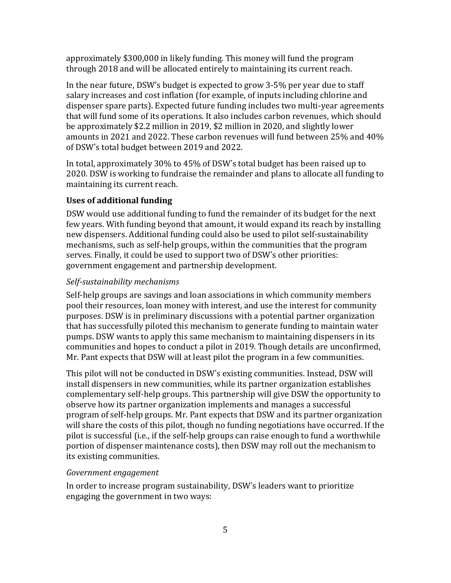approximately \$300,000 in likely funding. This money will fund the program through 2018 and will be allocated entirely to maintaining its current reach.

In the near future, DSW's budget is expected to grow 3-5% per year due to staff salary increases and cost inflation (for example, of inputs including chlorine and dispenser spare parts). Expected future funding includes two multi-year agreements that will fund some of its operations. It also includes carbon revenues, which should be approximately \$2.2 million in 2019, \$2 million in 2020, and slightly lower amounts in 2021 and 2022. These carbon revenues will fund between 25% and 40% of DSW's total budget between 2019 and 2022.

In total, approximately 30% to 45% of DSW's total budget has been raised up to 2020. DSW is working to fundraise the remainder and plans to allocate all funding to maintaining its current reach.

#### **Uses of additional funding**

DSW would use additional funding to fund the remainder of its budget for the next few years. With funding beyond that amount, it would expand its reach by installing new dispensers. Additional funding could also be used to pilot self-sustainability mechanisms, such as self-help groups, within the communities that the program serves. Finally, it could be used to support two of DSW's other priorities: government engagement and partnership development.

#### *Self-sustainability mechanisms*

Self-help groups are savings and loan associations in which community members pool their resources, loan money with interest, and use the interest for community purposes. DSW is in preliminary discussions with a potential partner organization that has successfully piloted this mechanism to generate funding to maintain water pumps. DSW wants to apply this same mechanism to maintaining dispensers in its communities and hopes to conduct a pilot in 2019. Though details are unconfirmed, Mr. Pant expects that DSW will at least pilot the program in a few communities.

This pilot will not be conducted in DSW's existing communities. Instead, DSW will install dispensers in new communities, while its partner organization establishes complementary self-help groups. This partnership will give DSW the opportunity to observe how its partner organization implements and manages a successful program of self-help groups. Mr. Pant expects that DSW and its partner organization will share the costs of this pilot, though no funding negotiations have occurred. If the pilot is successful (i.e., if the self-help groups can raise enough to fund a worthwhile portion of dispenser maintenance costs), then DSW may roll out the mechanism to its existing communities.

#### *Government engagement*

In order to increase program sustainability, DSW's leaders want to prioritize engaging the government in two ways: